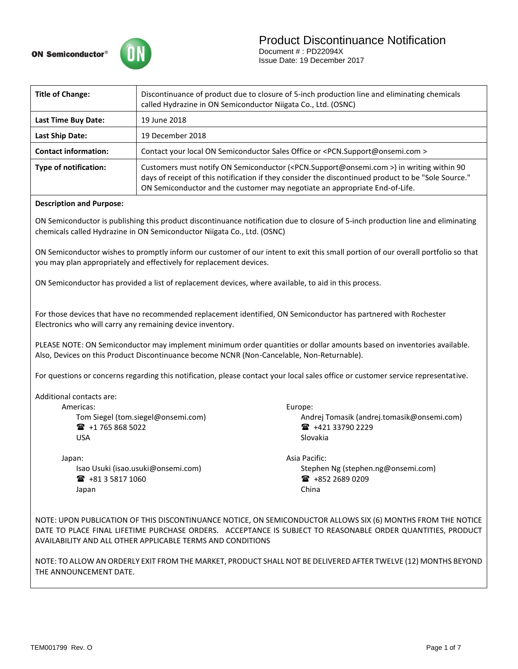

### Product Discontinuance Notification

Document # : PD22094X Issue Date: 19 December 2017

| <b>Title of Change:</b>                                                                                                                                                                                              | Discontinuance of product due to closure of 5-inch production line and eliminating chemicals<br>called Hydrazine in ON Semiconductor Niigata Co., Ltd. (OSNC)                                                                                                                                            |  |  |
|----------------------------------------------------------------------------------------------------------------------------------------------------------------------------------------------------------------------|----------------------------------------------------------------------------------------------------------------------------------------------------------------------------------------------------------------------------------------------------------------------------------------------------------|--|--|
| Last Time Buy Date:                                                                                                                                                                                                  | 19 June 2018                                                                                                                                                                                                                                                                                             |  |  |
| <b>Last Ship Date:</b>                                                                                                                                                                                               | 19 December 2018                                                                                                                                                                                                                                                                                         |  |  |
| <b>Contact information:</b>                                                                                                                                                                                          | Contact your local ON Semiconductor Sales Office or <pcn.support@onsemi.com></pcn.support@onsemi.com>                                                                                                                                                                                                    |  |  |
| <b>Type of notification:</b>                                                                                                                                                                                         | Customers must notify ON Semiconductor ( <pcn.support@onsemi.com>) in writing within 90<br/>days of receipt of this notification if they consider the discontinued product to be "Sole Source."<br/>ON Semiconductor and the customer may negotiate an appropriate End-of-Life.</pcn.support@onsemi.com> |  |  |
| <b>Description and Purpose:</b>                                                                                                                                                                                      |                                                                                                                                                                                                                                                                                                          |  |  |
| ON Semiconductor is publishing this product discontinuance notification due to closure of 5-inch production line and eliminating<br>chemicals called Hydrazine in ON Semiconductor Niigata Co., Ltd. (OSNC)          |                                                                                                                                                                                                                                                                                                          |  |  |
| ON Semiconductor wishes to promptly inform our customer of our intent to exit this small portion of our overall portfolio so that<br>you may plan appropriately and effectively for replacement devices.             |                                                                                                                                                                                                                                                                                                          |  |  |
| ON Semiconductor has provided a list of replacement devices, where available, to aid in this process.                                                                                                                |                                                                                                                                                                                                                                                                                                          |  |  |
| For those devices that have no recommended replacement identified, ON Semiconductor has partnered with Rochester<br>Electronics who will carry any remaining device inventory.                                       |                                                                                                                                                                                                                                                                                                          |  |  |
| PLEASE NOTE: ON Semiconductor may implement minimum order quantities or dollar amounts based on inventories available.<br>Also, Devices on this Product Discontinuance become NCNR (Non-Cancelable, Non-Returnable). |                                                                                                                                                                                                                                                                                                          |  |  |

For questions or concerns regarding this notification, please contact your local sales office or customer service representative.

Additional contacts are:

Americas:

Tom Siegel [\(tom.siegel@onsemi.com\)](mailto:tom.siegel@onsemi.com)  $\bullet$  +1 765 868 5022 USA

Japan: Isao Usuki (isao.usuki@onsemi.com) +81 3 5817 1060 Japan

Europe:

Andrej Tomasik (andrej.tomasik@onsemi.com) +421 33790 2229 Slovakia

Asia Pacific: Stephen Ng (stephen.ng@onsemi.com)  $\text{ }$  +852 2689 0209 China

NOTE: UPON PUBLICATION OF THIS DISCONTINUANCE NOTICE, ON SEMICONDUCTOR ALLOWS SIX (6) MONTHS FROM THE NOTICE DATE TO PLACE FINAL LIFETIME PURCHASE ORDERS. ACCEPTANCE IS SUBJECT TO REASONABLE ORDER QUANTITIES, PRODUCT AVAILABILITY AND ALL OTHER APPLICABLE TERMS AND CONDITIONS

NOTE: TO ALLOW AN ORDERLY EXIT FROM THE MARKET, PRODUCT SHALL NOT BE DELIVERED AFTER TWELVE (12) MONTHS BEYOND THE ANNOUNCEMENT DATE.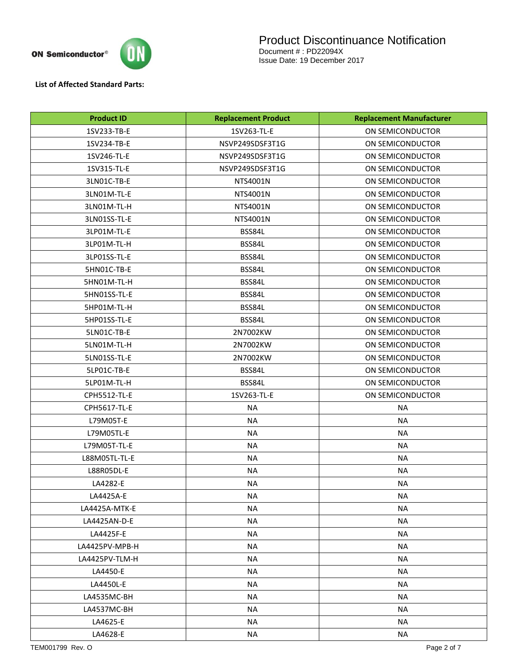

**List of Affected Standard Parts:** 

| <b>Product ID</b> | <b>Replacement Product</b> | <b>Replacement Manufacturer</b> |  |
|-------------------|----------------------------|---------------------------------|--|
| 1SV233-TB-E       | 1SV263-TL-E                | ON SEMICONDUCTOR                |  |
| 1SV234-TB-E       | NSVP249SDSF3T1G            | ON SEMICONDUCTOR                |  |
| 1SV246-TL-E       | NSVP249SDSF3T1G            | ON SEMICONDUCTOR                |  |
| 1SV315-TL-E       | NSVP249SDSF3T1G            | ON SEMICONDUCTOR                |  |
| 3LN01C-TB-E       | NTS4001N                   | ON SEMICONDUCTOR                |  |
| 3LN01M-TL-E       | NTS4001N                   | ON SEMICONDUCTOR                |  |
| 3LN01M-TL-H       | NTS4001N                   | ON SEMICONDUCTOR                |  |
| 3LN01SS-TL-E      | NTS4001N                   | ON SEMICONDUCTOR                |  |
| 3LP01M-TL-E       | BSS84L                     | ON SEMICONDUCTOR                |  |
| 3LP01M-TL-H       | BSS84L                     | ON SEMICONDUCTOR                |  |
| 3LP01SS-TL-E      | BSS84L                     | ON SEMICONDUCTOR                |  |
| 5HN01C-TB-E       | BSS84L                     | ON SEMICONDUCTOR                |  |
| 5HN01M-TL-H       | BSS84L                     | ON SEMICONDUCTOR                |  |
| 5HN01SS-TL-E      | BSS84L                     | ON SEMICONDUCTOR                |  |
| 5HP01M-TL-H       | BSS84L                     | ON SEMICONDUCTOR                |  |
| 5HP01SS-TL-E      | BSS84L                     | ON SEMICONDUCTOR                |  |
| 5LN01C-TB-E       | 2N7002KW                   | ON SEMICONDUCTOR                |  |
| 5LN01M-TL-H       | 2N7002KW                   | ON SEMICONDUCTOR                |  |
| 5LN01SS-TL-E      | 2N7002KW                   | ON SEMICONDUCTOR                |  |
| 5LP01C-TB-E       | BSS84L                     | ON SEMICONDUCTOR                |  |
| 5LP01M-TL-H       | BSS84L                     | ON SEMICONDUCTOR                |  |
| CPH5512-TL-E      | 1SV263-TL-E                | ON SEMICONDUCTOR                |  |
| CPH5617-TL-E      | <b>NA</b>                  | <b>NA</b>                       |  |
| L79M05T-E         | <b>NA</b>                  | <b>NA</b>                       |  |
| L79M05TL-E        | <b>NA</b>                  | <b>NA</b>                       |  |
| L79M05T-TL-E      | <b>NA</b>                  | <b>NA</b>                       |  |
| L88M05TL-TL-E     | <b>NA</b>                  | <b>NA</b>                       |  |
| L88R05DL-E        | <b>NA</b>                  | <b>NA</b>                       |  |
| LA4282-E          | <b>NA</b>                  | <b>NA</b>                       |  |
| LA4425A-E         | <b>NA</b>                  | <b>NA</b>                       |  |
| LA4425A-MTK-E     | <b>NA</b>                  | <b>NA</b>                       |  |
| LA4425AN-D-E      | <b>NA</b>                  | <b>NA</b>                       |  |
| LA4425F-E         | <b>NA</b>                  | <b>NA</b>                       |  |
| LA4425PV-MPB-H    | <b>NA</b>                  | <b>NA</b>                       |  |
| LA4425PV-TLM-H    | <b>NA</b>                  | <b>NA</b>                       |  |
| LA4450-E          | <b>NA</b>                  | <b>NA</b>                       |  |
| LA4450L-E         | <b>NA</b>                  | <b>NA</b>                       |  |
| LA4535MC-BH       | <b>NA</b>                  | <b>NA</b>                       |  |
| LA4537MC-BH       | NA                         | NА                              |  |
| LA4625-E          | <b>NA</b>                  | <b>NA</b>                       |  |
| LA4628-E          | NA                         | NA                              |  |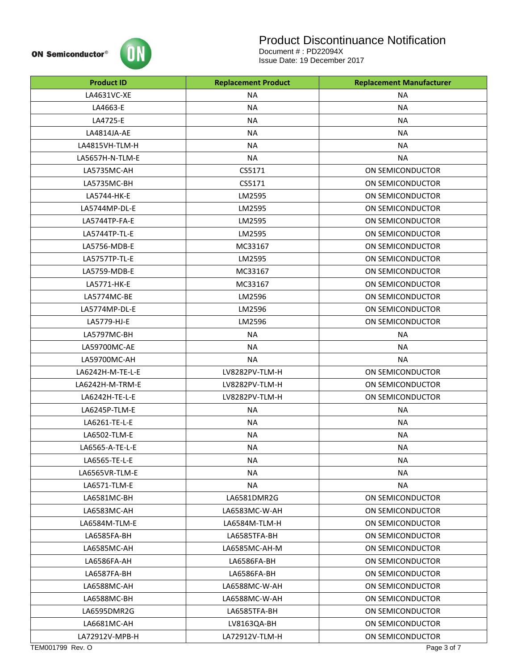

# Product Discontinuance Notification

| <b>Product ID</b> | <b>Replacement Product</b> | <b>Replacement Manufacturer</b> |
|-------------------|----------------------------|---------------------------------|
| LA4631VC-XE       | <b>NA</b>                  | <b>NA</b>                       |
| LA4663-E          | <b>NA</b>                  | <b>NA</b>                       |
| LA4725-E          | <b>NA</b>                  | <b>NA</b>                       |
| LA4814JA-AE       | <b>NA</b>                  | <b>NA</b>                       |
| LA4815VH-TLM-H    | <b>NA</b>                  | <b>NA</b>                       |
| LA5657H-N-TLM-E   | <b>NA</b>                  | <b>NA</b>                       |
| LA5735MC-AH       | CS5171                     | ON SEMICONDUCTOR                |
| LA5735MC-BH       | CS5171                     | ON SEMICONDUCTOR                |
| LA5744-HK-E       | LM2595                     | ON SEMICONDUCTOR                |
| LA5744MP-DL-E     | LM2595                     | ON SEMICONDUCTOR                |
| LA5744TP-FA-E     | LM2595                     | ON SEMICONDUCTOR                |
| LA5744TP-TL-E     | LM2595                     | ON SEMICONDUCTOR                |
| LA5756-MDB-E      | MC33167                    | ON SEMICONDUCTOR                |
| LA5757TP-TL-E     | LM2595                     | ON SEMICONDUCTOR                |
| LA5759-MDB-E      | MC33167                    | ON SEMICONDUCTOR                |
| LA5771-HK-E       | MC33167                    | ON SEMICONDUCTOR                |
| LA5774MC-BE       | LM2596                     | ON SEMICONDUCTOR                |
| LA5774MP-DL-E     | LM2596                     | ON SEMICONDUCTOR                |
| LA5779-HJ-E       | LM2596                     | ON SEMICONDUCTOR                |
| LA5797MC-BH       | <b>NA</b>                  | <b>NA</b>                       |
| LA59700MC-AE      | <b>NA</b>                  | <b>NA</b>                       |
| LA59700MC-AH      | <b>NA</b>                  | <b>NA</b>                       |
| LA6242H-M-TE-L-E  | LV8282PV-TLM-H             | ON SEMICONDUCTOR                |
| LA6242H-M-TRM-E   | LV8282PV-TLM-H             | ON SEMICONDUCTOR                |
| LA6242H-TE-L-E    | LV8282PV-TLM-H             | ON SEMICONDUCTOR                |
| LA6245P-TLM-E     | <b>NA</b>                  | <b>NA</b>                       |
| LA6261-TE-L-E     | <b>NA</b>                  | <b>NA</b>                       |
| LA6502-TLM-E      | <b>NA</b>                  | <b>NA</b>                       |
| LA6565-A-TE-L-E   | <b>NA</b>                  | <b>NA</b>                       |
| LA6565-TE-L-E     | <b>NA</b>                  | <b>NA</b>                       |
| LA6565VR-TLM-E    | <b>NA</b>                  | <b>NA</b>                       |
| LA6571-TLM-E      | <b>NA</b>                  | <b>NA</b>                       |
| LA6581MC-BH       | LA6581DMR2G                | ON SEMICONDUCTOR                |
| LA6583MC-AH       | LA6583MC-W-AH              | ON SEMICONDUCTOR                |
| LA6584M-TLM-E     | LA6584M-TLM-H              | ON SEMICONDUCTOR                |
| LA6585FA-BH       | LA6585TFA-BH               | ON SEMICONDUCTOR                |
| LA6585MC-AH       | LA6585MC-AH-M              | ON SEMICONDUCTOR                |
| LA6586FA-AH       | LA6586FA-BH                | ON SEMICONDUCTOR                |
| LA6587FA-BH       | LA6586FA-BH                | ON SEMICONDUCTOR                |
| LA6588MC-AH       | LA6588MC-W-AH              | ON SEMICONDUCTOR                |
| LA6588MC-BH       | LA6588MC-W-AH              | ON SEMICONDUCTOR                |
| LA6595DMR2G       | LA6585TFA-BH               | ON SEMICONDUCTOR                |
| LA6681MC-AH       | LV8163QA-BH                | ON SEMICONDUCTOR                |
| LA72912V-MPB-H    | LA72912V-TLM-H             | ON SEMICONDUCTOR                |
| TEM001799 Rev. O  |                            | Page 3 of 7                     |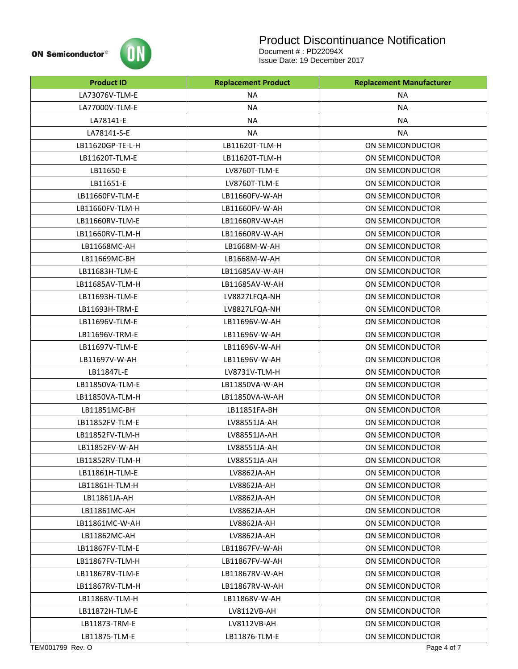

# Product Discontinuance Notification

| <b>Product ID</b> | <b>Replacement Product</b> | <b>Replacement Manufacturer</b> |
|-------------------|----------------------------|---------------------------------|
| LA73076V-TLM-E    | <b>NA</b>                  | <b>NA</b>                       |
| LA77000V-TLM-E    | <b>NA</b><br><b>NA</b>     |                                 |
| LA78141-E         | <b>NA</b>                  | <b>NA</b>                       |
| LA78141-S-E       | <b>NA</b>                  | <b>NA</b>                       |
| LB11620GP-TE-L-H  | LB11620T-TLM-H             | ON SEMICONDUCTOR                |
| LB11620T-TLM-E    | LB11620T-TLM-H             | ON SEMICONDUCTOR                |
| LB11650-E         | LV8760T-TLM-E              | ON SEMICONDUCTOR                |
| LB11651-E         | LV8760T-TLM-E              | ON SEMICONDUCTOR                |
| LB11660FV-TLM-E   | LB11660FV-W-AH             | ON SEMICONDUCTOR                |
| LB11660FV-TLM-H   | LB11660FV-W-AH             | ON SEMICONDUCTOR                |
| LB11660RV-TLM-E   | LB11660RV-W-AH             | ON SEMICONDUCTOR                |
| LB11660RV-TLM-H   | LB11660RV-W-AH             | ON SEMICONDUCTOR                |
| LB11668MC-AH      | LB1668M-W-AH               | ON SEMICONDUCTOR                |
| LB11669MC-BH      | LB1668M-W-AH               | ON SEMICONDUCTOR                |
| LB11683H-TLM-E    | LB11685AV-W-AH             | ON SEMICONDUCTOR                |
| LB11685AV-TLM-H   | LB11685AV-W-AH             | ON SEMICONDUCTOR                |
| LB11693H-TLM-E    | LV8827LFQA-NH              | ON SEMICONDUCTOR                |
| LB11693H-TRM-E    | LV8827LFQA-NH              | ON SEMICONDUCTOR                |
| LB11696V-TLM-E    | LB11696V-W-AH              | ON SEMICONDUCTOR                |
| LB11696V-TRM-E    | LB11696V-W-AH              | ON SEMICONDUCTOR                |
| LB11697V-TLM-E    | LB11696V-W-AH              | ON SEMICONDUCTOR                |
| LB11697V-W-AH     | LB11696V-W-AH              | ON SEMICONDUCTOR                |
| LB11847L-E        | LV8731V-TLM-H              | ON SEMICONDUCTOR                |
| LB11850VA-TLM-E   | LB11850VA-W-AH             | ON SEMICONDUCTOR                |
| LB11850VA-TLM-H   | LB11850VA-W-AH             | ON SEMICONDUCTOR                |
| LB11851MC-BH      | LB11851FA-BH               | ON SEMICONDUCTOR                |
| LB11852FV-TLM-E   | LV88551JA-AH               | ON SEMICONDUCTOR                |
| LB11852FV-TLM-H   | LV88551JA-AH               | ON SEMICONDUCTOR                |
| LB11852FV-W-AH    | LV88551JA-AH               | ON SEMICONDUCTOR                |
| LB11852RV-TLM-H   | LV88551JA-AH               | ON SEMICONDUCTOR                |
| LB11861H-TLM-E    | LV8862JA-AH                | ON SEMICONDUCTOR                |
| LB11861H-TLM-H    | LV8862JA-AH                | ON SEMICONDUCTOR                |
| LB11861JA-AH      | LV8862JA-AH                | ON SEMICONDUCTOR                |
| LB11861MC-AH      | LV8862JA-AH                | ON SEMICONDUCTOR                |
| LB11861MC-W-AH    | LV8862JA-AH                | ON SEMICONDUCTOR                |
| LB11862MC-AH      | LV8862JA-AH                | ON SEMICONDUCTOR                |
| LB11867FV-TLM-E   | LB11867FV-W-AH             | ON SEMICONDUCTOR                |
| LB11867FV-TLM-H   | LB11867FV-W-AH             | ON SEMICONDUCTOR                |
| LB11867RV-TLM-E   | LB11867RV-W-AH             | ON SEMICONDUCTOR                |
| LB11867RV-TLM-H   | LB11867RV-W-AH             | ON SEMICONDUCTOR                |
| LB11868V-TLM-H    | LB11868V-W-AH              | ON SEMICONDUCTOR                |
| LB11872H-TLM-E    | LV8112VB-AH                | ON SEMICONDUCTOR                |
| LB11873-TRM-E     | LV8112VB-AH                | ON SEMICONDUCTOR                |
| LB11875-TLM-E     | LB11876-TLM-E              | ON SEMICONDUCTOR                |
| TEM001799 Rev. O  |                            | Page 4 of 7                     |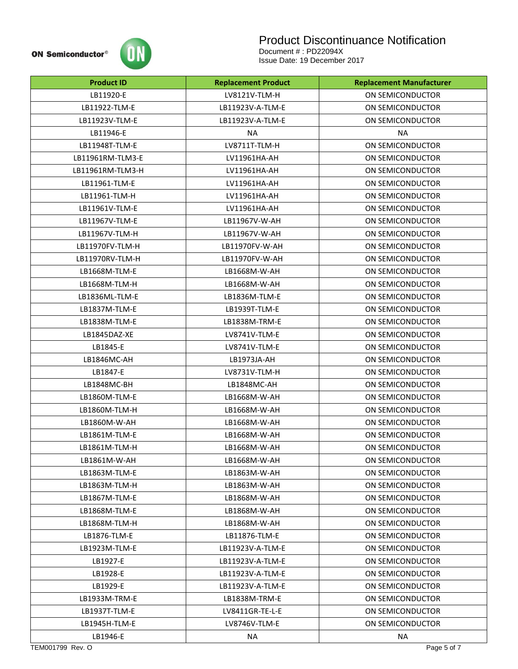

# Product Discontinuance Notification

| <b>Product ID</b> | <b>Replacement Product</b> | <b>Replacement Manufacturer</b> |
|-------------------|----------------------------|---------------------------------|
| LB11920-E         | LV8121V-TLM-H              | ON SEMICONDUCTOR                |
| LB11922-TLM-E     | LB11923V-A-TLM-E           | ON SEMICONDUCTOR                |
| LB11923V-TLM-E    | LB11923V-A-TLM-E           | ON SEMICONDUCTOR                |
| LB11946-E         | <b>NA</b>                  | NA.                             |
| LB11948T-TLM-E    | LV8711T-TLM-H              | ON SEMICONDUCTOR                |
| LB11961RM-TLM3-E  | LV11961HA-AH               | ON SEMICONDUCTOR                |
| LB11961RM-TLM3-H  | LV11961HA-AH               | ON SEMICONDUCTOR                |
| LB11961-TLM-E     | LV11961HA-AH               | ON SEMICONDUCTOR                |
| LB11961-TLM-H     | LV11961HA-AH               | ON SEMICONDUCTOR                |
| LB11961V-TLM-E    | LV11961HA-AH               | ON SEMICONDUCTOR                |
| LB11967V-TLM-E    | LB11967V-W-AH              | ON SEMICONDUCTOR                |
| LB11967V-TLM-H    | LB11967V-W-AH              | ON SEMICONDUCTOR                |
| LB11970FV-TLM-H   | LB11970FV-W-AH             | ON SEMICONDUCTOR                |
| LB11970RV-TLM-H   | LB11970FV-W-AH             | ON SEMICONDUCTOR                |
| LB1668M-TLM-E     | LB1668M-W-AH               | ON SEMICONDUCTOR                |
| LB1668M-TLM-H     | LB1668M-W-AH               | ON SEMICONDUCTOR                |
| LB1836ML-TLM-E    | LB1836M-TLM-E              | ON SEMICONDUCTOR                |
| LB1837M-TLM-E     | LB1939T-TLM-E              | ON SEMICONDUCTOR                |
| LB1838M-TLM-E     | LB1838M-TRM-E              | ON SEMICONDUCTOR                |
| LB1845DAZ-XE      | LV8741V-TLM-E              | ON SEMICONDUCTOR                |
| LB1845-E          | LV8741V-TLM-E              | ON SEMICONDUCTOR                |
| LB1846MC-AH       | LB1973JA-AH                | ON SEMICONDUCTOR                |
| LB1847-E          | LV8731V-TLM-H              | ON SEMICONDUCTOR                |
| LB1848MC-BH       | LB1848MC-AH                | ON SEMICONDUCTOR                |
| LB1860M-TLM-E     | LB1668M-W-AH               | ON SEMICONDUCTOR                |
| LB1860M-TLM-H     | LB1668M-W-AH               | ON SEMICONDUCTOR                |
| LB1860M-W-AH      | LB1668M-W-AH               | ON SEMICONDUCTOR                |
| LB1861M-TLM-E     | LB1668M-W-AH               | ON SEMICONDUCTOR                |
| LB1861M-TLM-H     | LB1668M-W-AH               | ON SEMICONDUCTOR                |
| LB1861M-W-AH      | LB1668M-W-AH               | ON SEMICONDUCTOR                |
| LB1863M-TLM-E     | LB1863M-W-AH               | ON SEMICONDUCTOR                |
| LB1863M-TLM-H     | LB1863M-W-AH               | ON SEMICONDUCTOR                |
| LB1867M-TLM-E     | LB1868M-W-AH               | ON SEMICONDUCTOR                |
| LB1868M-TLM-E     | LB1868M-W-AH               | ON SEMICONDUCTOR                |
| LB1868M-TLM-H     | LB1868M-W-AH               | ON SEMICONDUCTOR                |
| LB1876-TLM-E      | LB11876-TLM-E              | ON SEMICONDUCTOR                |
| LB1923M-TLM-E     | LB11923V-A-TLM-E           | ON SEMICONDUCTOR                |
| LB1927-E          | LB11923V-A-TLM-E           | ON SEMICONDUCTOR                |
| LB1928-E          | LB11923V-A-TLM-E           | ON SEMICONDUCTOR                |
| LB1929-E          | LB11923V-A-TLM-E           | ON SEMICONDUCTOR                |
| LB1933M-TRM-E     | LB1838M-TRM-E              | ON SEMICONDUCTOR                |
| LB1937T-TLM-E     | LV8411GR-TE-L-E            | ON SEMICONDUCTOR                |
| LB1945H-TLM-E     | LV8746V-TLM-E              | ON SEMICONDUCTOR                |
| LB1946-E          | <b>NA</b>                  | <b>NA</b>                       |
| TEM001799 Rev. O  |                            | Page 5 of 7                     |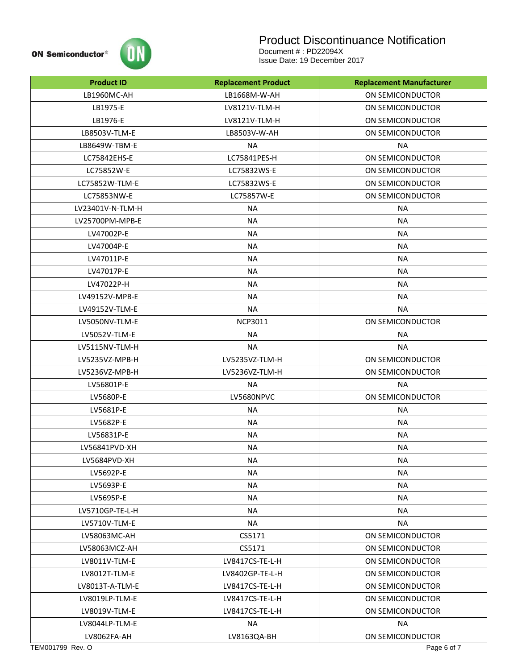

# Product Discontinuance Notification

| <b>Product ID</b> | <b>Replacement Product</b> | <b>Replacement Manufacturer</b> |
|-------------------|----------------------------|---------------------------------|
| LB1960MC-AH       | LB1668M-W-AH               | ON SEMICONDUCTOR                |
| LB1975-E          | LV8121V-TLM-H              | ON SEMICONDUCTOR                |
| LB1976-E          | LV8121V-TLM-H              | ON SEMICONDUCTOR                |
| LB8503V-TLM-E     | LB8503V-W-AH               | ON SEMICONDUCTOR                |
| LB8649W-TBM-E     | <b>NA</b>                  | <b>NA</b>                       |
| LC75842EHS-E      | LC75841PES-H               | ON SEMICONDUCTOR                |
| LC75852W-E        | LC75832WS-E                | ON SEMICONDUCTOR                |
| LC75852W-TLM-E    | LC75832WS-E                | ON SEMICONDUCTOR                |
| LC75853NW-E       | LC75857W-E                 | ON SEMICONDUCTOR                |
| LV23401V-N-TLM-H  | <b>NA</b>                  | <b>NA</b>                       |
| LV25700PM-MPB-E   | <b>NA</b>                  | <b>NA</b>                       |
| LV47002P-E        | <b>NA</b>                  | <b>NA</b>                       |
| LV47004P-E        | <b>NA</b>                  | <b>NA</b>                       |
| LV47011P-E        | <b>NA</b>                  | <b>NA</b>                       |
| LV47017P-E        | <b>NA</b>                  | <b>NA</b>                       |
| LV47022P-H        | <b>NA</b>                  | <b>NA</b>                       |
| LV49152V-MPB-E    | <b>NA</b>                  | <b>NA</b>                       |
| LV49152V-TLM-E    | <b>NA</b>                  | <b>NA</b>                       |
| LV5050NV-TLM-E    | <b>NCP3011</b>             | ON SEMICONDUCTOR                |
| LV5052V-TLM-E     | <b>NA</b>                  | <b>NA</b>                       |
| LV5115NV-TLM-H    | <b>NA</b>                  | <b>NA</b>                       |
| LV5235VZ-MPB-H    | LV5235VZ-TLM-H             | ON SEMICONDUCTOR                |
| LV5236VZ-MPB-H    | LV5236VZ-TLM-H             | ON SEMICONDUCTOR                |
| LV56801P-E        | <b>NA</b>                  | <b>NA</b>                       |
| LV5680P-E         | LV5680NPVC                 | ON SEMICONDUCTOR                |
| LV5681P-E         | <b>NA</b>                  | <b>NA</b>                       |
| LV5682P-E         | <b>NA</b>                  | <b>NA</b>                       |
| LV56831P-E        | <b>NA</b>                  | <b>NA</b>                       |
| LV56841PVD-XH     | <b>NA</b>                  | <b>NA</b>                       |
| LV5684PVD-XH      | <b>NA</b>                  | <b>NA</b>                       |
| LV5692P-E         | <b>NA</b>                  | <b>NA</b>                       |
| LV5693P-E         | <b>NA</b>                  | <b>NA</b>                       |
| LV5695P-E         | <b>NA</b>                  | <b>NA</b>                       |
| LV5710GP-TE-L-H   | <b>NA</b>                  | <b>NA</b>                       |
| LV5710V-TLM-E     | NA                         | <b>NA</b>                       |
| LV58063MC-AH      | CS5171                     | ON SEMICONDUCTOR                |
| LV58063MCZ-AH     | CS5171                     | ON SEMICONDUCTOR                |
| LV8011V-TLM-E     | LV8417CS-TE-L-H            | ON SEMICONDUCTOR                |
| LV8012T-TLM-E     | LV8402GP-TE-L-H            | ON SEMICONDUCTOR                |
| LV8013T-A-TLM-E   | LV8417CS-TE-L-H            | ON SEMICONDUCTOR                |
| LV8019LP-TLM-E    | LV8417CS-TE-L-H            | ON SEMICONDUCTOR                |
| LV8019V-TLM-E     | LV8417CS-TE-L-H            | ON SEMICONDUCTOR                |
| LV8044LP-TLM-E    | <b>NA</b>                  | <b>NA</b>                       |
| LV8062FA-AH       | LV8163QA-BH                | ON SEMICONDUCTOR                |
| TEM001799 Rev. O  |                            | Page 6 of 7                     |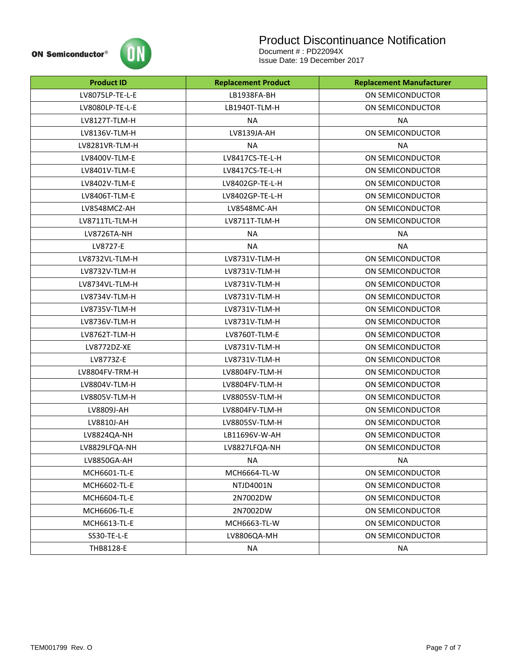

# Product Discontinuance Notification

| <b>Product ID</b>   | <b>Replacement Product</b> | <b>Replacement Manufacturer</b> |  |
|---------------------|----------------------------|---------------------------------|--|
| LV8075LP-TE-L-E     | LB1938FA-BH                | ON SEMICONDUCTOR                |  |
| LV8080LP-TE-L-E     | LB1940T-TLM-H              | ON SEMICONDUCTOR                |  |
| LV8127T-TLM-H       | <b>NA</b>                  | <b>NA</b>                       |  |
| LV8136V-TLM-H       | LV8139JA-AH                | ON SEMICONDUCTOR                |  |
| LV8281VR-TLM-H      | <b>NA</b>                  | <b>NA</b>                       |  |
| LV8400V-TLM-E       | LV8417CS-TE-L-H            | ON SEMICONDUCTOR                |  |
| LV8401V-TLM-E       | LV8417CS-TE-L-H            | ON SEMICONDUCTOR                |  |
| LV8402V-TLM-E       | LV8402GP-TE-L-H            | ON SEMICONDUCTOR                |  |
| LV8406T-TLM-E       | LV8402GP-TE-L-H            | ON SEMICONDUCTOR                |  |
| LV8548MCZ-AH        | LV8548MC-AH                | ON SEMICONDUCTOR                |  |
| LV8711TL-TLM-H      | LV8711T-TLM-H              | ON SEMICONDUCTOR                |  |
| LV8726TA-NH         | NA.                        | NA.                             |  |
| LV8727-E            | NA.                        | <b>NA</b>                       |  |
| LV8732VL-TLM-H      | LV8731V-TLM-H              | ON SEMICONDUCTOR                |  |
| LV8732V-TLM-H       | LV8731V-TLM-H              | ON SEMICONDUCTOR                |  |
| LV8734VL-TLM-H      | LV8731V-TLM-H              | ON SEMICONDUCTOR                |  |
| LV8734V-TLM-H       | LV8731V-TLM-H              | ON SEMICONDUCTOR                |  |
| LV8735V-TLM-H       | LV8731V-TLM-H              | ON SEMICONDUCTOR                |  |
| LV8736V-TLM-H       | LV8731V-TLM-H              | ON SEMICONDUCTOR                |  |
| LV8762T-TLM-H       | LV8760T-TLM-E              | ON SEMICONDUCTOR                |  |
| LV8772DZ-XE         | LV8731V-TLM-H              | ON SEMICONDUCTOR                |  |
| LV8773Z-E           | LV8731V-TLM-H              | ON SEMICONDUCTOR                |  |
| LV8804FV-TRM-H      | LV8804FV-TLM-H             | ON SEMICONDUCTOR                |  |
| LV8804V-TLM-H       | LV8804FV-TLM-H             | ON SEMICONDUCTOR                |  |
| LV8805V-TLM-H       | LV8805SV-TLM-H             | ON SEMICONDUCTOR                |  |
| LV8809J-AH          | LV8804FV-TLM-H             | ON SEMICONDUCTOR                |  |
| LV8810J-AH          | LV8805SV-TLM-H             | ON SEMICONDUCTOR                |  |
| LV8824QA-NH         | LB11696V-W-AH              | ON SEMICONDUCTOR                |  |
| LV8829LFQA-NH       | LV8827LFQA-NH              | ON SEMICONDUCTOR                |  |
| LV8850GA-AH         | <b>NA</b>                  | <b>NA</b>                       |  |
| <b>MCH6601-TL-E</b> | MCH6664-TL-W               | ON SEMICONDUCTOR                |  |
| MCH6602-TL-E        | NTJD4001N                  | ON SEMICONDUCTOR                |  |
| MCH6604-TL-E        | 2N7002DW                   | ON SEMICONDUCTOR                |  |
| <b>MCH6606-TL-E</b> | 2N7002DW                   | ON SEMICONDUCTOR                |  |
| MCH6613-TL-E        | MCH6663-TL-W               | ON SEMICONDUCTOR                |  |
| SS30-TE-L-E         | LV8806QA-MH                | ON SEMICONDUCTOR                |  |
| THB8128-E           | NA                         | NA                              |  |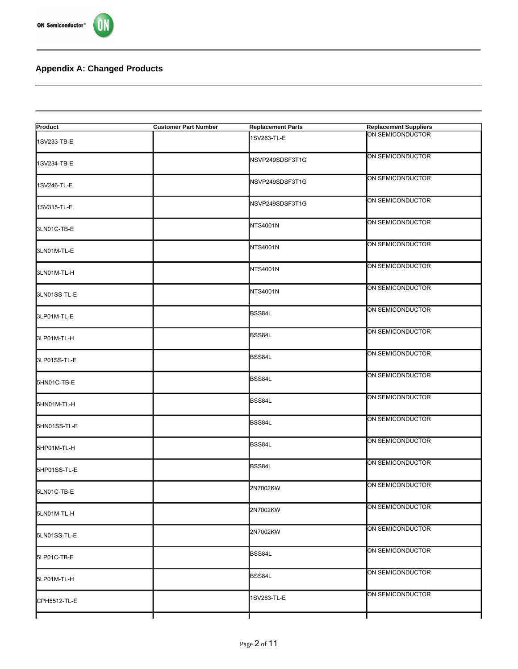



#### **Appendix A: Changed Products**

| Product      | <b>Customer Part Number</b> | <b>Replacement Parts</b> | <b>Replacement Suppliers</b> |
|--------------|-----------------------------|--------------------------|------------------------------|
| 1SV233-TB-E  |                             | 1SV263-TL-E              | ON SEMICONDUCTOR             |
| 1SV234-TB-E  |                             | NSVP249SDSF3T1G          | ON SEMICONDUCTOR             |
| 1SV246-TL-E  |                             | NSVP249SDSF3T1G          | ON SEMICONDUCTOR             |
| 1SV315-TL-E  |                             | NSVP249SDSF3T1G          | ON SEMICONDUCTOR             |
| 3LN01C-TB-E  |                             | NTS4001N                 | ON SEMICONDUCTOR             |
| 3LN01M-TL-E  |                             | NTS4001N                 | ON SEMICONDUCTOR             |
| 3LN01M-TL-H  |                             | NTS4001N                 | ON SEMICONDUCTOR             |
| 3LN01SS-TL-E |                             | NTS4001N                 | ON SEMICONDUCTOR             |
| 3LP01M-TL-E  |                             | <b>BSS84L</b>            | ON SEMICONDUCTOR             |
| 3LP01M-TL-H  |                             | BSS84L                   | ON SEMICONDUCTOR             |
| 3LP01SS-TL-E |                             | BSS84L                   | ON SEMICONDUCTOR             |
| 5HN01C-TB-E  |                             | <b>BSS84L</b>            | ON SEMICONDUCTOR             |
| 5HN01M-TL-H  |                             | BSS84L                   | ON SEMICONDUCTOR             |
| 5HN01SS-TL-E |                             | <b>BSS84L</b>            | ON SEMICONDUCTOR             |
| 5HP01M-TL-H  |                             | BSS84L                   | ON SEMICONDUCTOR             |
| 5HP01SS-TL-E |                             | BSS84L                   | ON SEMICONDUCTOR             |
| 5LN01C-TB-E  |                             | 2N7002KW                 | ON SEMICONDUCTOR             |
| 5LN01M-TL-H  |                             | 2N7002KW                 | ON SEMICONDUCTOR             |
| 5LN01SS-TL-E |                             | 2N7002KW                 | ON SEMICONDUCTOR             |
| 5LP01C-TB-E  |                             | <b>BSS84L</b>            | ON SEMICONDUCTOR             |
| 5LP01M-TL-H  |                             | BSS84L                   | ON SEMICONDUCTOR             |
| CPH5512-TL-E |                             | 1SV263-TL-E              | ON SEMICONDUCTOR             |
|              |                             |                          |                              |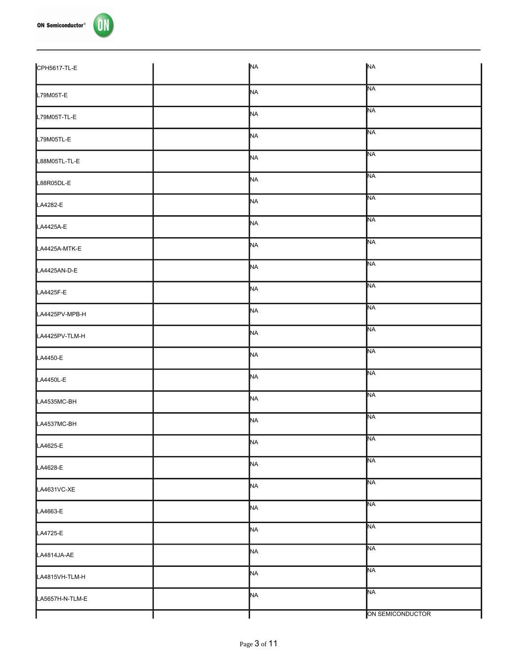

| CPH5617-TL-E    | <b>NA</b>      | <b>NA</b>        |
|-----------------|----------------|------------------|
| L79M05T-E       | NA             | <b>NA</b>        |
| L79M05T-TL-E    | NA             | <b>NA</b>        |
| L79M05TL-E      | N <sub>A</sub> | <b>NA</b>        |
| L88M05TL-TL-E   | <b>NA</b>      | <b>NA</b>        |
| L88R05DL-E      | NA             | <b>NA</b>        |
| LA4282-E        | <b>NA</b>      | <b>NA</b>        |
| LA4425A-E       | NA             | <b>NA</b>        |
| LA4425A-MTK-E   | N <sub>A</sub> | <b>NA</b>        |
| LA4425AN-D-E    | <b>NA</b>      | <b>NA</b>        |
| LA4425F-E       | <b>NA</b>      | <b>NA</b>        |
| LA4425PV-MPB-H  | N <sub>A</sub> | <b>NA</b>        |
| LA4425PV-TLM-H  | <b>NA</b>      | <b>NA</b>        |
| LA4450-E        | NA             | <b>NA</b>        |
| LA4450L-E       | <b>NA</b>      | <b>NA</b>        |
| LA4535MC-BH     | N <sub>A</sub> | <b>NA</b>        |
| LA4537MC-BH     | <b>NA</b>      | <b>NA</b>        |
| LA4625-E        | NA             | <b>NA</b>        |
| LA4628-E        | N <sub>A</sub> | <b>NA</b>        |
| LA4631VC-XE     | <b>NA</b>      | <b>NA</b>        |
| LA4663-E        | N <sub>A</sub> | <b>NA</b>        |
| LA4725-E        | N <sub>A</sub> | <b>NA</b>        |
| LA4814JA-AE     | NA             | <b>NA</b>        |
| LA4815VH-TLM-H  | N <sub>A</sub> | <b>NA</b>        |
| LA5657H-N-TLM-E | N <sub>A</sub> | <b>NA</b>        |
|                 |                | ON SEMICONDUCTOR |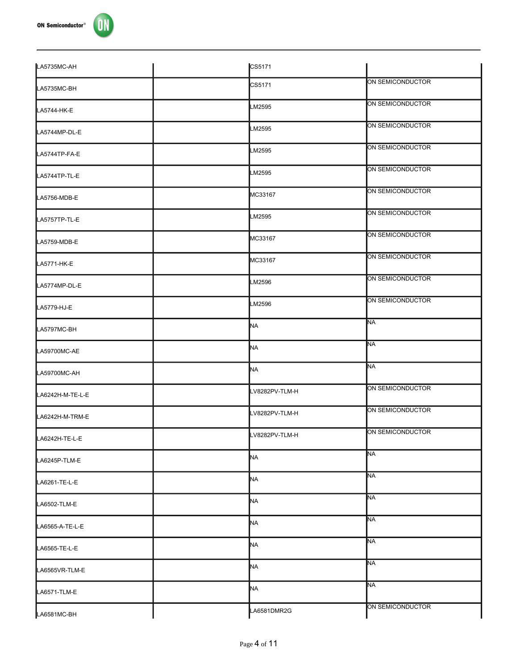

| LA5735MC-AH      | CS5171         |                  |
|------------------|----------------|------------------|
| LA5735MC-BH      | CS5171         | ON SEMICONDUCTOR |
| LA5744-HK-E      | LM2595         | ON SEMICONDUCTOR |
| LA5744MP-DL-E    | LM2595         | ON SEMICONDUCTOR |
| LA5744TP-FA-E    | LM2595         | ON SEMICONDUCTOR |
| LA5744TP-TL-E    | LM2595         | ON SEMICONDUCTOR |
| LA5756-MDB-E     | MC33167        | ON SEMICONDUCTOR |
| LA5757TP-TL-E    | LM2595         | ON SEMICONDUCTOR |
| LA5759-MDB-E     | MC33167        | ON SEMICONDUCTOR |
| LA5771-HK-E      | MC33167        | ON SEMICONDUCTOR |
| LA5774MP-DL-E    | LM2596         | ON SEMICONDUCTOR |
| LA5779-HJ-E      | LM2596         | ON SEMICONDUCTOR |
| LA5797MC-BH      | <b>NA</b>      | <b>NA</b>        |
| LA59700MC-AE     | <b>NA</b>      | <b>NA</b>        |
| LA59700MC-AH     | <b>NA</b>      | <b>NA</b>        |
| LA6242H-M-TE-L-E | LV8282PV-TLM-H | ON SEMICONDUCTOR |
| LA6242H-M-TRM-E  | LV8282PV-TLM-H | ON SEMICONDUCTOR |
| LA6242H-TE-L-E   | LV8282PV-TLM-H | ON SEMICONDUCTOR |
| LA6245P-TLM-E    | NA.            | <b>NA</b>        |
| LA6261-TE-L-E    | <b>NA</b>      | <b>NA</b>        |
| LA6502-TLM-E     | NA.            | <b>NA</b>        |
| LA6565-A-TE-L-E  | <b>NA</b>      | <b>NA</b>        |
| LA6565-TE-L-E    | <b>NA</b>      | <b>NA</b>        |
| LA6565VR-TLM-E   | <b>NA</b>      | <b>NA</b>        |
| LA6571-TLM-E     | NA.            | <b>NA</b>        |
| LA6581MC-BH      | LA6581DMR2G    | ON SEMICONDUCTOR |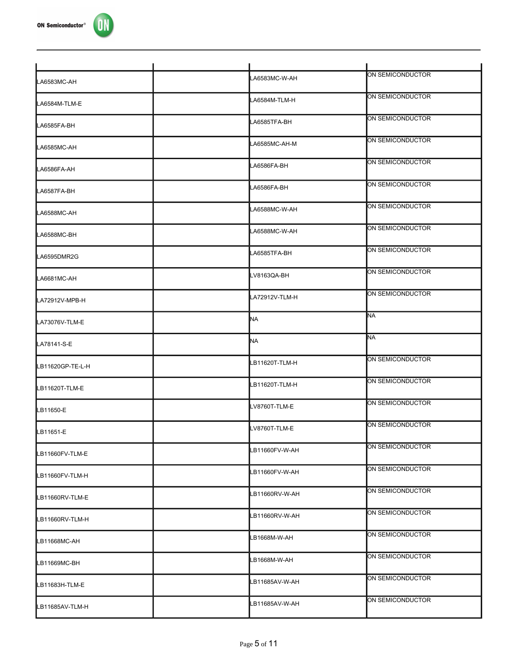

| LA6583MC-AH                                                    | LA6583MC-W-AH  | ON SEMICONDUCTOR |
|----------------------------------------------------------------|----------------|------------------|
| LA6584M-TLM-E                                                  | LA6584M-TLM-H  | ON SEMICONDUCTOR |
| LA6585FA-BH                                                    | LA6585TFA-BH   | ON SEMICONDUCTOR |
| LA6585MC-AH                                                    | LA6585MC-AH-M  | ON SEMICONDUCTOR |
| LA6586FA-AH                                                    | LA6586FA-BH    | ON SEMICONDUCTOR |
| LA6587FA-BH                                                    | LA6586FA-BH    | ON SEMICONDUCTOR |
| LA6588MC-AH                                                    | LA6588MC-W-AH  | ON SEMICONDUCTOR |
| LA6588MC-BH                                                    | LA6588MC-W-AH  | ON SEMICONDUCTOR |
| LA6595DMR2G                                                    | LA6585TFA-BH   | ON SEMICONDUCTOR |
| LA6681MC-AH                                                    | LV8163QA-BH    | ON SEMICONDUCTOR |
| LA72912V-MPB-H                                                 | LA72912V-TLM-H | ON SEMICONDUCTOR |
| LA73076V-TLM-E                                                 | NA             | <b>NA</b>        |
|                                                                |                |                  |
|                                                                | NA             | <b>NA</b>        |
|                                                                | LB11620T-TLM-H | ON SEMICONDUCTOR |
|                                                                | LB11620T-TLM-H | ON SEMICONDUCTOR |
| LA78141-S-E<br>LB11620GP-TE-L-H<br>LB11620T-TLM-E<br>LB11650-E | LV8760T-TLM-E  | ON SEMICONDUCTOR |
| LB11651-E                                                      | LV8760T-TLM-E  | ON SEMICONDUCTOR |
| LB11660FV-TLM-E                                                | LB11660FV-W-AH | ON SEMICONDUCTOR |
| LB11660FV-TLM-H                                                | LB11660FV-W-AH | ON SEMICONDUCTOR |
| LB11660RV-TLM-E                                                | LB11660RV-W-AH | ON SEMICONDUCTOR |
| LB11660RV-TLM-H                                                | LB11660RV-W-AH | ON SEMICONDUCTOR |
| LB11668MC-AH                                                   | LB1668M-W-AH   | ON SEMICONDUCTOR |
| LB11669MC-BH                                                   | LB1668M-W-AH   | ON SEMICONDUCTOR |
| LB11683H-TLM-E                                                 | LB11685AV-W-AH | ON SEMICONDUCTOR |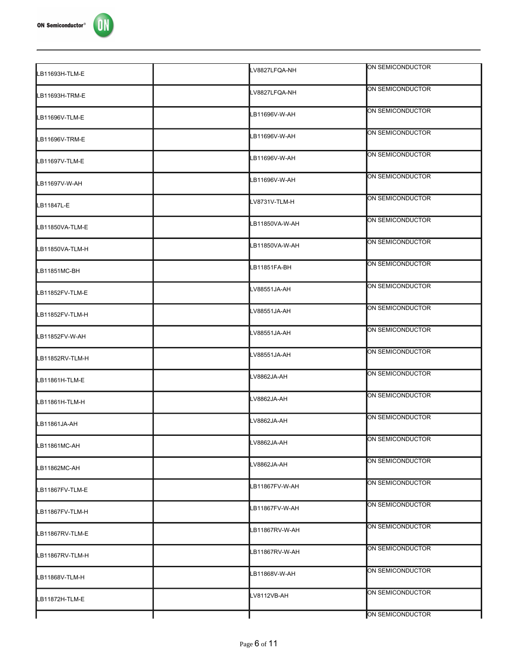

| LB11693H-TLM-E  | LV8827LFQA-NH  | ON SEMICONDUCTOR |
|-----------------|----------------|------------------|
| LB11693H-TRM-E  | LV8827LFQA-NH  | ON SEMICONDUCTOR |
| LB11696V-TLM-E  | LB11696V-W-AH  | ON SEMICONDUCTOR |
| LB11696V-TRM-E  | LB11696V-W-AH  | ON SEMICONDUCTOR |
| LB11697V-TLM-E  | B11696V-W-AH   | ON SEMICONDUCTOR |
| LB11697V-W-AH   | LB11696V-W-AH  | ON SEMICONDUCTOR |
| LB11847L-E      | LV8731V-TLM-H  | ON SEMICONDUCTOR |
| LB11850VA-TLM-E | LB11850VA-W-AH | ON SEMICONDUCTOR |
| LB11850VA-TLM-H | LB11850VA-W-AH | ON SEMICONDUCTOR |
| LB11851MC-BH    | LB11851FA-BH   | ON SEMICONDUCTOR |
| LB11852FV-TLM-E | LV88551JA-AH   | ON SEMICONDUCTOR |
| LB11852FV-TLM-H | LV88551JA-AH   | ON SEMICONDUCTOR |
| LB11852FV-W-AH  | LV88551JA-AH   | ON SEMICONDUCTOR |
| LB11852RV-TLM-H | LV88551JA-AH   | ON SEMICONDUCTOR |
| LB11861H-TLM-E  | LV8862JA-AH    | ON SEMICONDUCTOR |
| LB11861H-TLM-H  | LV8862JA-AH    | ON SEMICONDUCTOR |
| LB11861JA-AH    | LV8862JA-AH    | ON SEMICONDUCTOR |
| LB11861MC-AH    | LV8862JA-AH    | ON SEMICONDUCTOR |
| LB11862MC-AH    | LV8862JA-AH    | ON SEMICONDUCTOR |
| LB11867FV-TLM-E | LB11867FV-W-AH | ON SEMICONDUCTOR |
| LB11867FV-TLM-H | LB11867FV-W-AH | ON SEMICONDUCTOR |
| LB11867RV-TLM-E | LB11867RV-W-AH | ON SEMICONDUCTOR |
| LB11867RV-TLM-H | LB11867RV-W-AH | ON SEMICONDUCTOR |
| LB11868V-TLM-H  | LB11868V-W-AH  | ON SEMICONDUCTOR |
| LB11872H-TLM-E  | LV8112VB-AH    | ON SEMICONDUCTOR |
|                 |                | ON SEMICONDUCTOR |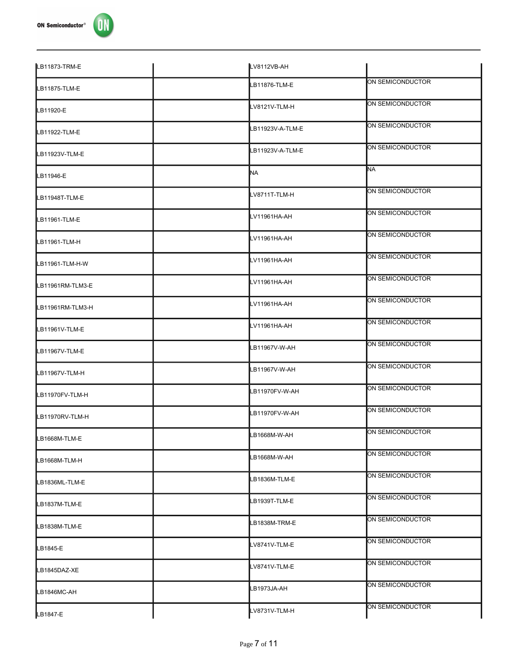

| LB11873-TRM-E    | LV8112VB-AH      |                  |
|------------------|------------------|------------------|
| LB11875-TLM-E    | LB11876-TLM-E    | ON SEMICONDUCTOR |
| LB11920-E        | LV8121V-TLM-H    | ON SEMICONDUCTOR |
| LB11922-TLM-E    | LB11923V-A-TLM-E | ON SEMICONDUCTOR |
| LB11923V-TLM-E   | LB11923V-A-TLM-E | ON SEMICONDUCTOR |
| LB11946-E        | <b>NA</b>        | <b>NA</b>        |
| LB11948T-TLM-E   | LV8711T-TLM-H    | ON SEMICONDUCTOR |
| LB11961-TLM-E    | LV11961HA-AH     | ON SEMICONDUCTOR |
| LB11961-TLM-H    | LV11961HA-AH     | ON SEMICONDUCTOR |
| LB11961-TLM-H-W  | LV11961HA-AH     | ON SEMICONDUCTOR |
| LB11961RM-TLM3-E | LV11961HA-AH     | ON SEMICONDUCTOR |
| LB11961RM-TLM3-H | LV11961HA-AH     | ON SEMICONDUCTOR |
| LB11961V-TLM-E   | LV11961HA-AH     | ON SEMICONDUCTOR |
| LB11967V-TLM-E   | LB11967V-W-AH    | ON SEMICONDUCTOR |
| LB11967V-TLM-H   | LB11967V-W-AH    | ON SEMICONDUCTOR |
| LB11970FV-TLM-H  | LB11970FV-W-AH   | ON SEMICONDUCTOR |
| LB11970RV-TLM-H  | LB11970FV-W-AH   | ON SEMICONDUCTOR |
| LB1668M-TLM-E    | LB1668M-W-AH     | ON SEMICONDUCTOR |
| LB1668M-TLM-H    | LB1668M-W-AH     | ON SEMICONDUCTOR |
| LB1836ML-TLM-E   | LB1836M-TLM-E    | ON SEMICONDUCTOR |
| LB1837M-TLM-E    | LB1939T-TLM-E    | ON SEMICONDUCTOR |
| LB1838M-TLM-E    | LB1838M-TRM-E    | ON SEMICONDUCTOR |
|                  | LV8741V-TLM-E    | ON SEMICONDUCTOR |
| LB1845-E         | LV8741V-TLM-E    | ON SEMICONDUCTOR |
| LB1845DAZ-XE     | LB1973JA-AH      | ON SEMICONDUCTOR |
| LB1846MC-AH      |                  | ON SEMICONDUCTOR |
| LB1847-E         | LV8731V-TLM-H    |                  |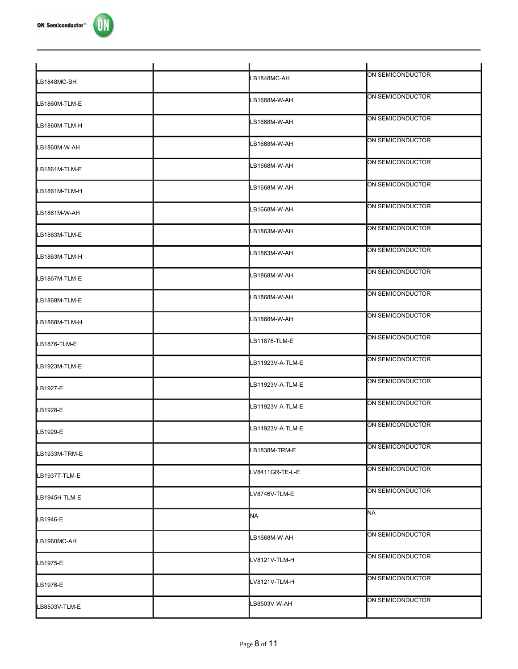

| LB1848MC-BH   | LB1848MC-AH      | ON SEMICONDUCTOR |
|---------------|------------------|------------------|
| LB1860M-TLM-E | LB1668M-W-AH     | ON SEMICONDUCTOR |
| LB1860M-TLM-H | LB1668M-W-AH     | ON SEMICONDUCTOR |
| LB1860M-W-AH  | LB1668M-W-AH     | ON SEMICONDUCTOR |
| LB1861M-TLM-E | LB1668M-W-AH     | ON SEMICONDUCTOR |
| LB1861M-TLM-H | LB1668M-W-AH     | ON SEMICONDUCTOR |
| LB1861M-W-AH  | LB1668M-W-AH     | ON SEMICONDUCTOR |
| LB1863M-TLM-E | LB1863M-W-AH     | ON SEMICONDUCTOR |
| LB1863M-TLM-H | LB1863M-W-AH     | ON SEMICONDUCTOR |
| LB1867M-TLM-E | LB1868M-W-AH     | ON SEMICONDUCTOR |
| LB1868M-TLM-E | LB1868M-W-AH     | ON SEMICONDUCTOR |
| LB1868M-TLM-H | LB1868M-W-AH     | ON SEMICONDUCTOR |
| LB1876-TLM-E  | LB11876-TLM-E    | ON SEMICONDUCTOR |
| LB1923M-TLM-E | LB11923V-A-TLM-E | ON SEMICONDUCTOR |
| LB1927-E      | LB11923V-A-TLM-E | ON SEMICONDUCTOR |
| LB1928-E      | LB11923V-A-TLM-E | ON SEMICONDUCTOR |
| LB1929-E      | LB11923V-A-TLM-E | ON SEMICONDUCTOR |
| LB1933M-TRM-E | LB1838M-TRM-E    | ON SEMICONDUCTOR |
| LB1937T-TLM-E | LV8411GR-TE-L-E  | ON SEMICONDUCTOR |
| LB1945H-TLM-E | LV8746V-TLM-E    | ON SEMICONDUCTOR |
| LB1946-E      | NA               | <b>NA</b>        |
| LB1960MC-AH   | LB1668M-W-AH     | ON SEMICONDUCTOR |
| LB1975-E      | LV8121V-TLM-H    | ON SEMICONDUCTOR |
| LB1976-E      | LV8121V-TLM-H    | ON SEMICONDUCTOR |
| LB8503V-TLM-E | LB8503V-W-AH     | ON SEMICONDUCTOR |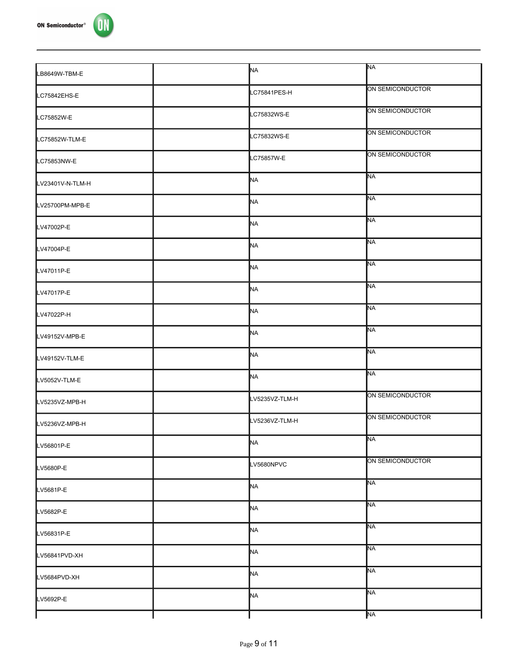

| LB8649W-TBM-E    | <b>NA</b>      | <b>NA</b>        |
|------------------|----------------|------------------|
| LC75842EHS-E     | LC75841PES-H   | ON SEMICONDUCTOR |
| LC75852W-E       | LC75832WS-E    | ON SEMICONDUCTOR |
| LC75852W-TLM-E   | LC75832WS-E    | ON SEMICONDUCTOR |
| LC75853NW-E      | LC75857W-E     | ON SEMICONDUCTOR |
| LV23401V-N-TLM-H | <b>NA</b>      | <b>NA</b>        |
| LV25700PM-MPB-E  | NA             | <b>NA</b>        |
| LV47002P-E       | NA             | <b>NA</b>        |
| LV47004P-E       | NA             | <b>NA</b>        |
| LV47011P-E       | NA             | <b>NA</b>        |
| LV47017P-E       | NA             | <b>NA</b>        |
| LV47022P-H       | <b>NA</b>      | <b>NA</b>        |
| LV49152V-MPB-E   | NA             | <b>NA</b>        |
| LV49152V-TLM-E   | <b>NA</b>      | <b>NA</b>        |
| LV5052V-TLM-E    | <b>NA</b>      | <b>NA</b>        |
| LV5235VZ-MPB-H   | LV5235VZ-TLM-H | ON SEMICONDUCTOR |
| LV5236VZ-MPB-H   | LV5236VZ-TLM-H | ON SEMICONDUCTOR |
| LV56801P-E       | <b>NA</b>      | <b>NA</b>        |
| LV5680P-E        | LV5680NPVC     | ON SEMICONDUCTOR |
| LV5681P-E        | NA             | <b>NA</b>        |
| LV5682P-E        | <b>NA</b>      | <b>NA</b>        |
| LV56831P-E       | NA             | <b>NA</b>        |
| LV56841PVD-XH    | <b>NA</b>      | <b>NA</b>        |
| LV5684PVD-XH     | NA             | <b>NA</b>        |
| LV5692P-E        | NA             | <b>NA</b>        |
|                  |                | <b>NA</b>        |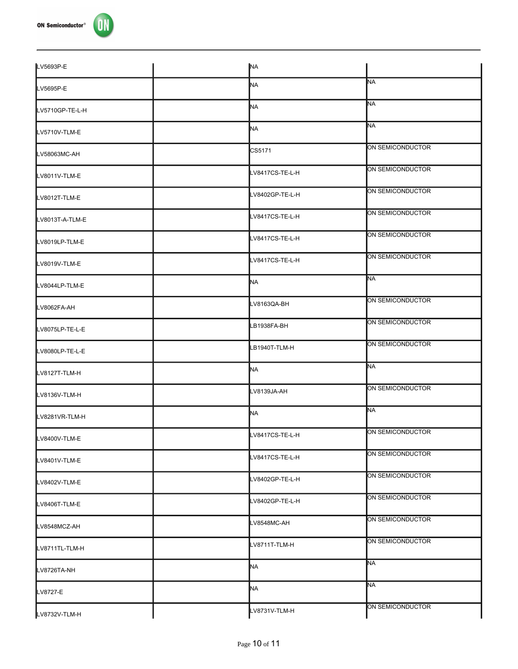| LV5693P-E       | <b>NA</b>       |                  |
|-----------------|-----------------|------------------|
| LV5695P-E       | NA.             | <b>NA</b>        |
| LV5710GP-TE-L-H | NA              | <b>NA</b>        |
| LV5710V-TLM-E   | NA.             | <b>NA</b>        |
| LV58063MC-AH    | CS5171          | ON SEMICONDUCTOR |
| LV8011V-TLM-E   | LV8417CS-TE-L-H | ON SEMICONDUCTOR |
| LV8012T-TLM-E   | LV8402GP-TE-L-H | ON SEMICONDUCTOR |
| LV8013T-A-TLM-E | LV8417CS-TE-L-H | ON SEMICONDUCTOR |
| LV8019LP-TLM-E  | LV8417CS-TE-L-H | ON SEMICONDUCTOR |
| LV8019V-TLM-E   | LV8417CS-TE-L-H | ON SEMICONDUCTOR |
| LV8044LP-TLM-E  | MA              | <b>NA</b>        |
| LV8062FA-AH     | LV8163QA-BH     | ON SEMICONDUCTOR |
| LV8075LP-TE-L-E | LB1938FA-BH     | ON SEMICONDUCTOR |
| LV8080LP-TE-L-E | LB1940T-TLM-H   | ON SEMICONDUCTOR |
| LV8127T-TLM-H   | MA              | <b>NA</b>        |
| LV8136V-TLM-H   | LV8139JA-AH     | ON SEMICONDUCTOR |
| LV8281VR-TLM-H  | NA              | <b>NA</b>        |
| LV8400V-TLM-E   | LV8417CS-TE-L-H | ON SEMICONDUCTOR |
| LV8401V-TLM-E   | LV8417CS-TE-L-H | ON SEMICONDUCTOR |
| LV8402V-TLM-E   | LV8402GP-TE-L-H | ON SEMICONDUCTOR |
| LV8406T-TLM-E   | LV8402GP-TE-L-H | ON SEMICONDUCTOR |
| LV8548MCZ-AH    | LV8548MC-AH     | ON SEMICONDUCTOR |
| LV8711TL-TLM-H  | LV8711T-TLM-H   | ON SEMICONDUCTOR |
| LV8726TA-NH     | NA              | <b>NA</b>        |
| LV8727-E        | NA              | <b>NA</b>        |
| LV8732V-TLM-H   | LV8731V-TLM-H   | ON SEMICONDUCTOR |